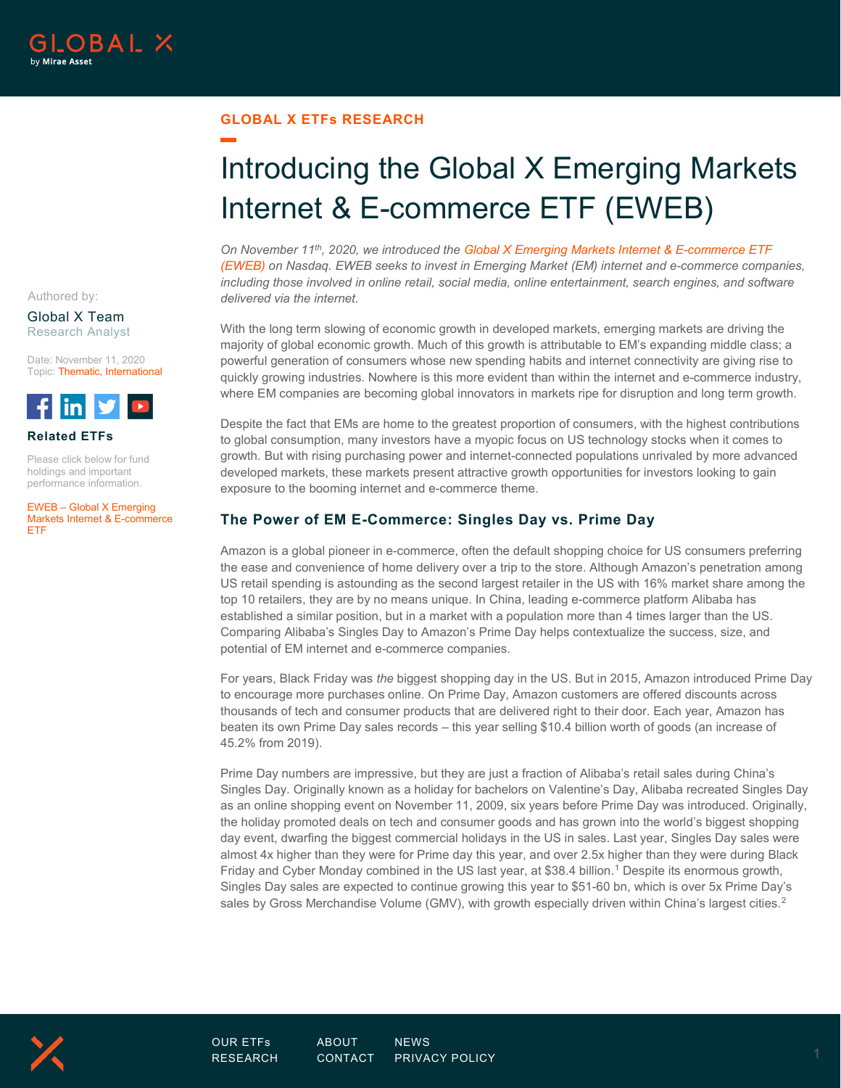## **GLOBAL X ETFs RESEARCH**

# Introducing the Global X Emerging Markets Internet & E-commerce ETF (EWEB)

*On November 11th, 2020, we introduced th[e Global X Emerging Markets Internet & E-commerce ETF](http://www.globalxetfs.com/funds/eweb)  [\(EWEB\)](http://www.globalxetfs.com/funds/eweb) on Nasdaq. EWEB seeks to invest in Emerging Market (EM) internet and e-commerce companies, including those involved in online retail, social media, online entertainment, search engines, and software delivered via the internet.* 

With the long term slowing of economic growth in developed markets, emerging markets are driving the majority of global economic growth. Much of this growth is attributable to EM's expanding middle class; a powerful generation of consumers whose new spending habits and internet connectivity are giving rise to quickly growing industries. Nowhere is this more evident than within the internet and e-commerce industry, where EM companies are becoming global innovators in markets ripe for disruption and long term growth.

Despite the fact that EMs are home to the greatest proportion of consumers, with the highest contributions to global consumption, many investors have a myopic focus on US technology stocks when it comes to growth. But with rising purchasing power and internet-connected populations unrivaled by more advanced developed markets, these markets present attractive growth opportunities for investors looking to gain exposure to the booming internet and e-commerce theme.

## **The Power of EM E-Commerce: Singles Day vs. Prime Day**

Amazon is a global pioneer in e-commerce, often the default shopping choice for US consumers preferring the ease and convenience of home delivery over a trip to the store. Although Amazon's penetration among US retail spending is astounding as the second largest retailer in the US with 16% market share among the top 10 retailers, they are by no means unique. In China, leading e-commerce platform Alibaba has established a similar position, but in a market with a population more than 4 times larger than the US. Comparing Alibaba's Singles Day to Amazon's Prime Day helps contextualize the success, size, and potential of EM internet and e-commerce companies.

For years, Black Friday was *the* biggest shopping day in the US. But in 2015, Amazon introduced Prime Day to encourage more purchases online. On Prime Day, Amazon customers are offered discounts across thousands of tech and consumer products that are delivered right to their door. Each year, Amazon has beaten its own Prime Day sales records – this year selling \$10.4 billion worth of goods (an increase of 45.2% from 2019).

Prime Day numbers are impressive, but they are just a fraction of Alibaba's retail sales during China's Singles Day. Originally known as a holiday for bachelors on Valentine's Day, Alibaba recreated Singles Day as an online shopping event on November 11, 2009, six years before Prime Day was introduced. Originally, the holiday promoted deals on tech and consumer goods and has grown into the world's biggest shopping day event, dwarfing the biggest commercial holidays in the US in sales. Last year, Singles Day sales were almost 4x higher than they were for Prime day this year, and over 2.5x higher than they were during Black Friday and Cyber Monday combined in the US last year, at \$38.4 billion. [1](#page-9-0) Despite its enormous growth, Singles Day sales are expected to continue growing this year to \$51-60 bn, which is over 5x Prime Day's sales by Gross Merchandise Volume (GMV), with growth especially driven within China's largest cities.<sup>[2](#page-9-1)</sup>

Authored by:

#### Global X Team Research Analyst

Date: November 11, 2020 Topic: Thematic, International



#### **Related ETFs**

Please click below for fund holdings and important performance information.

EWEB – [Global X Emerging](http://www.globalxetfs.com/funds/eweb)  [Markets Internet & E-commerce](http://www.globalxetfs.com/funds/eweb)  [ETF](http://www.globalxetfs.com/funds/eweb)

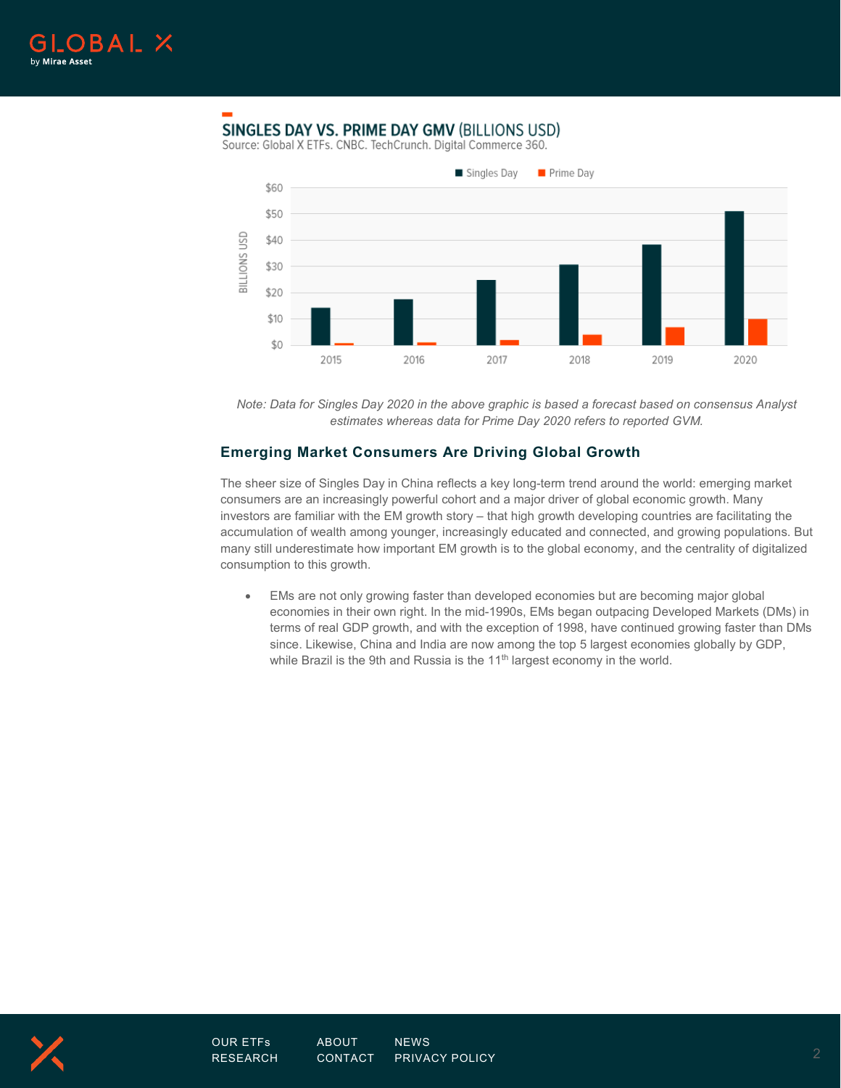

## SINGLES DAY VS. PRIME DAY GMV (BILLIONS USD)

Source: Global X ETFs. CNBC. TechCrunch. Digital Commerce 360.



*Note: Data for Singles Day 2020 in the above graphic is based a forecast based on consensus Analyst estimates whereas data for Prime Day 2020 refers to reported GVM.*

## **Emerging Market Consumers Are Driving Global Growth**

The sheer size of Singles Day in China reflects a key long-term trend around the world: emerging market consumers are an increasingly powerful cohort and a major driver of global economic growth. Many investors are familiar with the EM growth story – that high growth developing countries are facilitating the accumulation of wealth among younger, increasingly educated and connected, and growing populations. But many still underestimate how important EM growth is to the global economy, and the centrality of digitalized consumption to this growth.

• EMs are not only growing faster than developed economies but are becoming major global economies in their own right. In the mid-1990s, EMs began outpacing Developed Markets (DMs) in terms of real GDP growth, and with the exception of 1998, have continued growing faster than DMs since. Likewise, China and India are now among the top 5 largest economies globally by GDP, while Brazil is the 9th and Russia is the  $11<sup>th</sup>$  largest economy in the world.

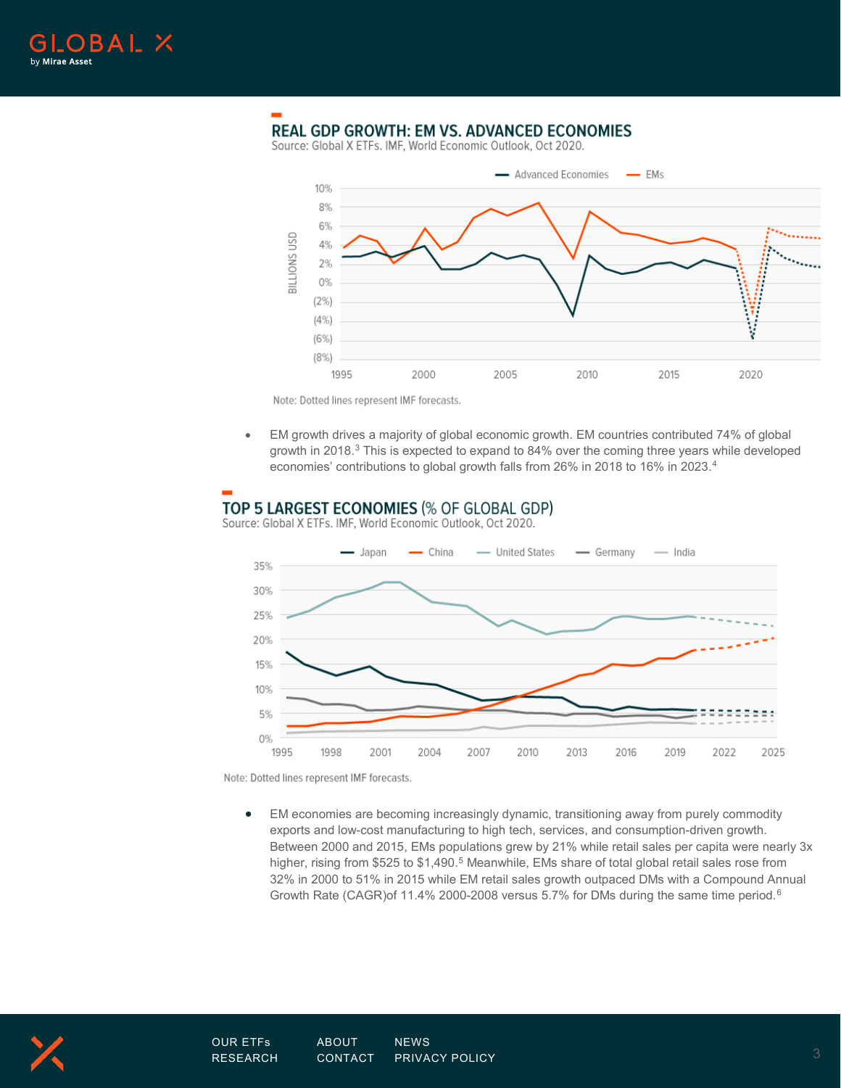

## **REAL GDP GROWTH: EM VS. ADVANCED ECONOMIES**

Source: Global X ETFs. IMF, World Economic Outlook, Oct 2020.



Note: Dotted lines represent IMF forecasts.

• EM growth drives a majority of global economic growth. EM countries contributed 74% of global growth in 2018.<sup>[3](#page-9-2)</sup> This is expected to expand to 84% over the coming three years while developed economies' contributions to global growth falls from 26% in 2018 to 16% in 2023.[4](#page-9-3)

## TOP 5 LARGEST ECONOMIES (% OF GLOBAL GDP)

Source: Global X ETFs. IMF, World Economic Outlook, Oct 2020.



Note: Dotted lines represent IMF forecasts.

• EM economies are becoming increasingly dynamic, transitioning away from purely commodity exports and low-cost manufacturing to high tech, services, and consumption-driven growth. Between 2000 and 2015, EMs populations grew by 21% while retail sales per capita were nearly 3x higher, rising from \$[5](#page-9-4)25 to \$1,490.<sup>5</sup> Meanwhile, EMs share of total global retail sales rose from 32% in 2000 to 51% in 2015 while EM retail sales growth outpaced DMs with a Compound Annual Growth Rate (CAGR)of 11.4% 2000-2008 versus 5.7% for DMs during the same time period.[6](#page-9-5)

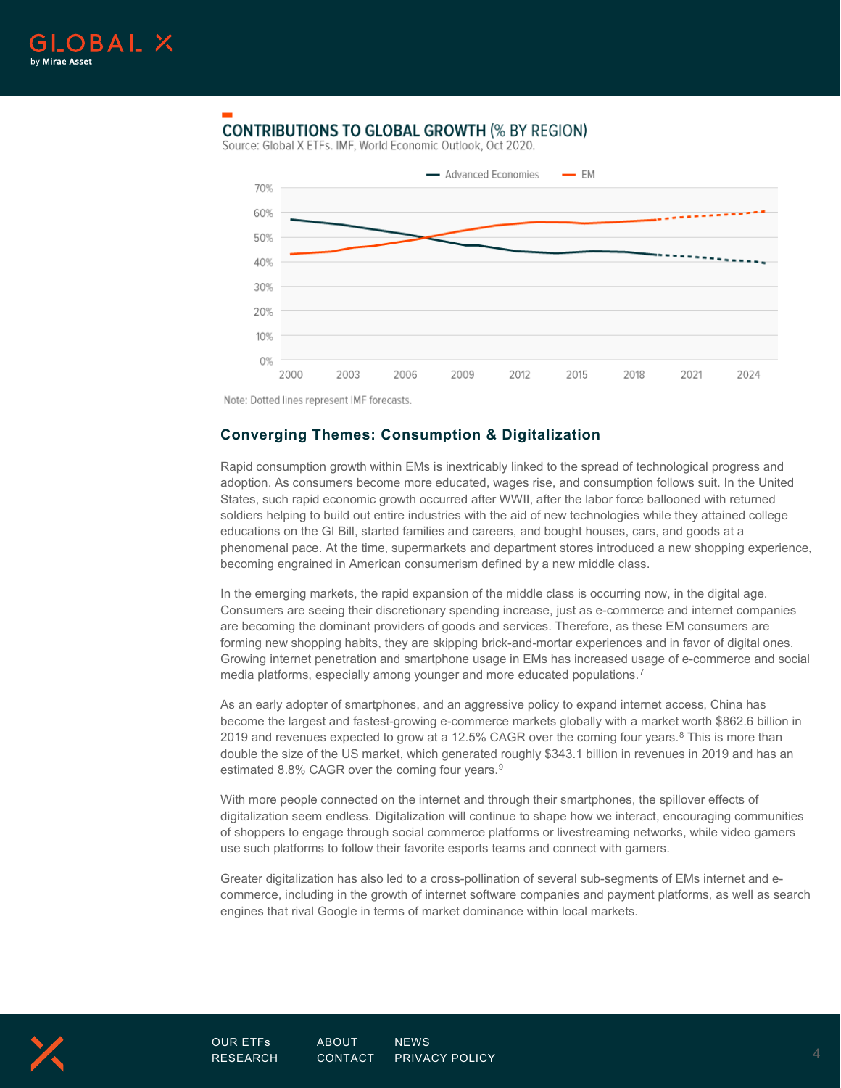

## **CONTRIBUTIONS TO GLOBAL GROWTH (% BY REGION)**

Source: Global X ETFs. IMF, World Economic Outlook, Oct 2020.



Note: Dotted lines represent IMF forecasts.

## **Converging Themes: Consumption & Digitalization**

Rapid consumption growth within EMs is inextricably linked to the spread of technological progress and adoption. As consumers become more educated, wages rise, and consumption follows suit. In the United States, such rapid economic growth occurred after WWII, after the labor force ballooned with returned soldiers helping to build out entire industries with the aid of new technologies while they attained college educations on the GI Bill, started families and careers, and bought houses, cars, and goods at a phenomenal pace. At the time, supermarkets and department stores introduced a new shopping experience, becoming engrained in American consumerism defined by a new middle class.

In the emerging markets, the rapid expansion of the middle class is occurring now, in the digital age. Consumers are seeing their discretionary spending increase, just as e-commerce and internet companies are becoming the dominant providers of goods and services. Therefore, as these EM consumers are forming new shopping habits, they are skipping brick-and-mortar experiences and in favor of digital ones. Growing internet penetration and smartphone usage in EMs has increased usage of e-commerce and social media platforms, especially among younger and more educated populations.<sup>[7](#page-9-6)</sup>

As an early adopter of smartphones, and an aggressive policy to expand internet access, China has become the largest and fastest-growing e-commerce markets globally with a market worth \$862.6 billion in 2019 and revenues expected to grow at a 12.5% CAGR over the coming four years.<sup>[8](#page-9-7)</sup> This is more than double the size of the US market, which generated roughly \$343.1 billion in revenues in 2019 and has an estimated 8.8% CAGR over the coming four years.<sup>[9](#page-9-8)</sup>

With more people connected on the internet and through their smartphones, the spillover effects of digitalization seem endless. Digitalization will continue to shape how we interact, encouraging communities of shoppers to engage through social commerce platforms or livestreaming networks, while video gamers use such platforms to follow their favorite esports teams and connect with gamers.

Greater digitalization has also led to a cross-pollination of several sub-segments of EMs internet and ecommerce, including in the growth of internet software companies and payment platforms, as well as search engines that rival Google in terms of market dominance within local markets.

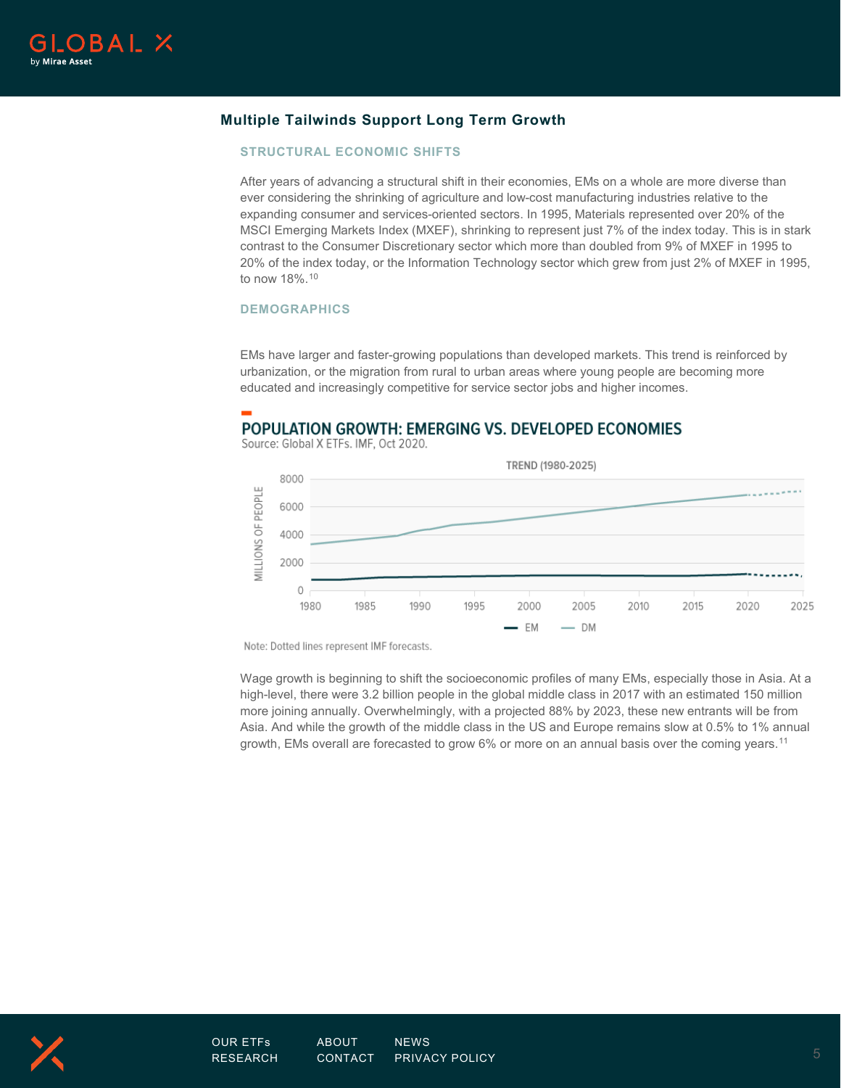

## **Multiple Tailwinds Support Long Term Growth**

#### **STRUCTURAL ECONOMIC SHIFTS**

After years of advancing a structural shift in their economies, EMs on a whole are more diverse than ever considering the shrinking of agriculture and low-cost manufacturing industries relative to the expanding consumer and services-oriented sectors. In 1995, Materials represented over 20% of the MSCI Emerging Markets Index (MXEF), shrinking to represent just 7% of the index today. This is in stark contrast to the Consumer Discretionary sector which more than doubled from 9% of MXEF in 1995 to 20% of the index today, or the Information Technology sector which grew from just 2% of MXEF in 1995, to now 18%.[10](#page-9-9)

#### **DEMOGRAPHICS**

EMs have larger and faster-growing populations than developed markets. This trend is reinforced by urbanization, or the migration from rural to urban areas where young people are becoming more educated and increasingly competitive for service sector jobs and higher incomes.

## POPULATION GROWTH: EMERGING VS. DEVELOPED ECONOMIES

Source: Global X ETFs. IMF, Oct 2020.



Note: Dotted lines represent IMF forecasts.

Wage growth is beginning to shift the socioeconomic profiles of many EMs, especially those in Asia. At a high-level, there were 3.2 billion people in the global middle class in 2017 with an estimated 150 million more joining annually. Overwhelmingly, with a projected 88% by 2023, these new entrants will be from Asia. And while the growth of the middle class in the US and Europe remains slow at 0.5% to 1% annual growth, EMs overall are forecasted to grow 6% or more on an annual basis over the coming years.[11](#page-9-10)

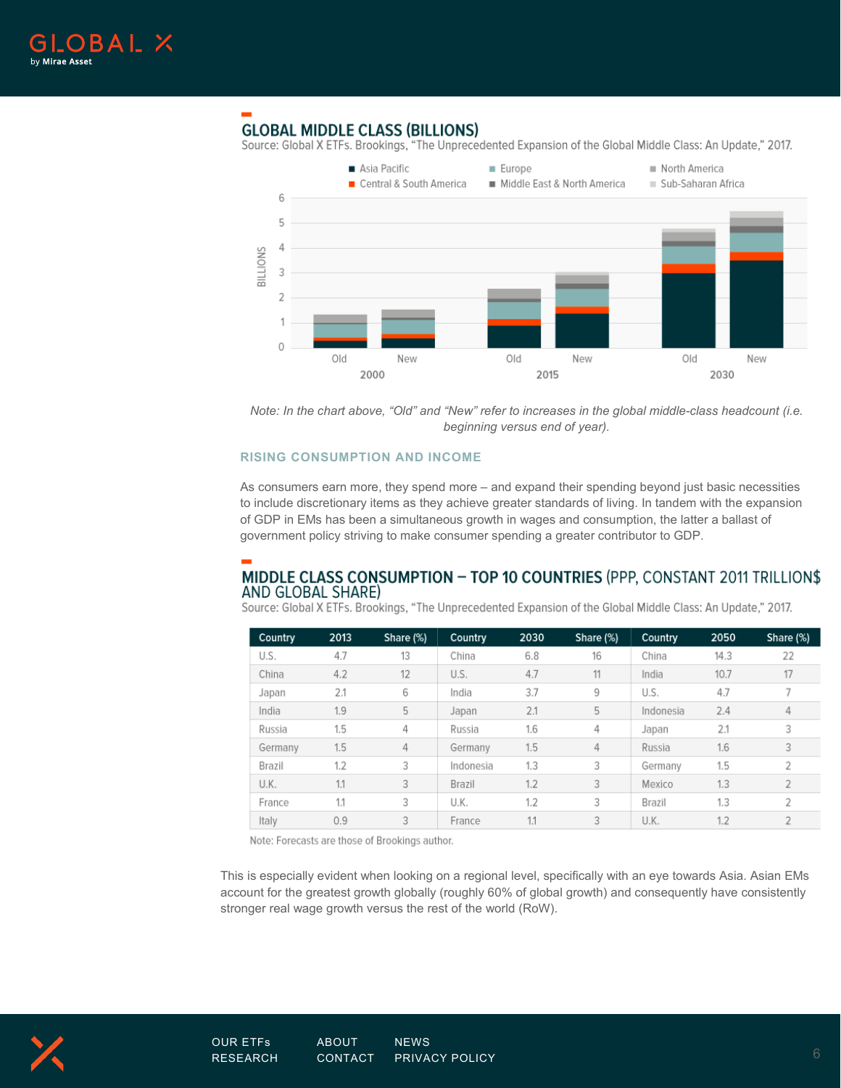

## **GLOBAL MIDDLE CLASS (BILLIONS)**

Source: Global X ETFs. Brookings, "The Unprecedented Expansion of the Global Middle Class: An Update," 2017.



*Note: In the chart above, "Old" and "New" refer to increases in the global middle-class headcount (i.e. beginning versus end of year).*

#### **RISING CONSUMPTION AND INCOME**

As consumers earn more, they spend more – and expand their spending beyond just basic necessities to include discretionary items as they achieve greater standards of living. In tandem with the expansion of GDP in EMs has been a simultaneous growth in wages and consumption, the latter a ballast of government policy striving to make consumer spending a greater contributor to GDP.

## MIDDLE CLASS CONSUMPTION - TOP 10 COUNTRIES (PPP, CONSTANT 2011 TRILLION\$ AND GLOBAL SHARE)

Source: Global X ETFs. Brookings, "The Unprecedented Expansion of the Global Middle Class: An Update," 2017.

| Country | 2013 | Share (%) | Country   | 2030 | Share (%) | Country   | 2050 | Share (%)     |
|---------|------|-----------|-----------|------|-----------|-----------|------|---------------|
| U.S.    | 4.7  | 13        | China     | 6.8  | 16        | China     | 14.3 | 22            |
| China   | 4.2  | 12        | U.S.      | 4.7  | 11        | India     | 10.7 | 17            |
| Japan   | 2.1  | 6         | India     | 3.7  | 9         | U.S.      | 4.7  |               |
| India   | 1.9  | 5         | Japan     | 2.1  | 5         | Indonesia | 2.4  | 4             |
| Russia  | 1.5  | 4         | Russia    | 1.6  | 4         | Japan     | 2.1  | 3             |
| Germany | 1.5  | 4         | Germany   | 1.5  | 4         | Russia    | 1.6  | 3             |
| Brazil  | 1.2  | 3         | Indonesia | 1.3  | 3         | Germany   | 1.5  | $\mathcal{P}$ |
| U.K.    | 1.1  | 3         | Brazil    | 1.2  | 3         | Mexico    | 1.3  |               |
| France  | 1.1  | 3         | U.K.      | 1.2  | 3         | Brazil    | 1.3  | 2             |
| Italy   | 0.9  | 3         | France    | 1.1  | 3         | U.K.      | 1.2  |               |

Note: Forecasts are those of Brookings author.

This is especially evident when looking on a regional level, specifically with an eye towards Asia. Asian EMs account for the greatest growth globally (roughly 60% of global growth) and consequently have consistently stronger real wage growth versus the rest of the world (RoW).

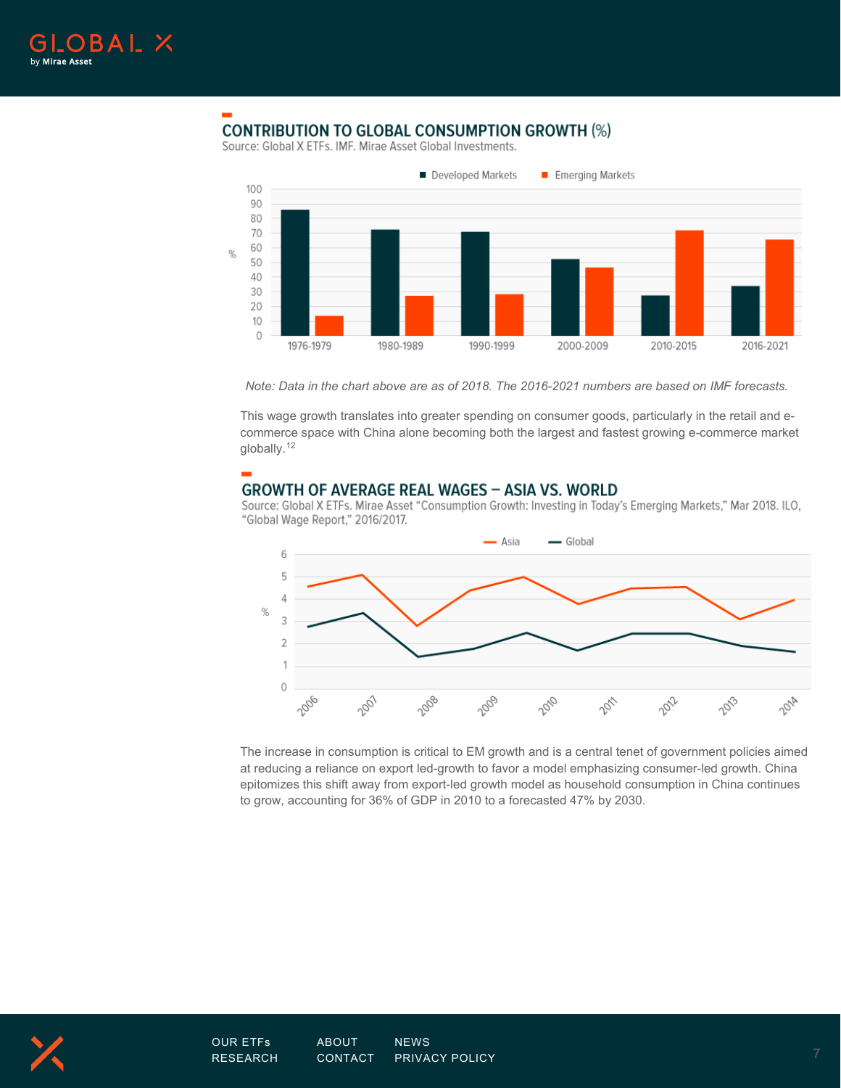

## **CONTRIBUTION TO GLOBAL CONSUMPTION GROWTH (%)**

Source: Global X ETFs, IMF, Mirae Asset Global Investments,



*Note: Data in the chart above are as of 2018. The 2016-2021 numbers are based on IMF forecasts.*

This wage growth translates into greater spending on consumer goods, particularly in the retail and ecommerce space with China alone becoming both the largest and fastest growing e-commerce market globally.<sup>[12](#page-9-11)</sup>

## **GROWTH OF AVERAGE REAL WAGES - ASIA VS. WORLD**

Source: Global X ETFs. Mirae Asset "Consumption Growth: Investing in Today's Emerging Markets," Mar 2018. ILO, "Global Wage Report," 2016/2017.



The increase in consumption is critical to EM growth and is a central tenet of government policies aimed at reducing a reliance on export led-growth to favor a model emphasizing consumer-led growth. China epitomizes this shift away from export-led growth model as household consumption in China continues to grow, accounting for 36% of GDP in 2010 to a forecasted 47% by 2030.

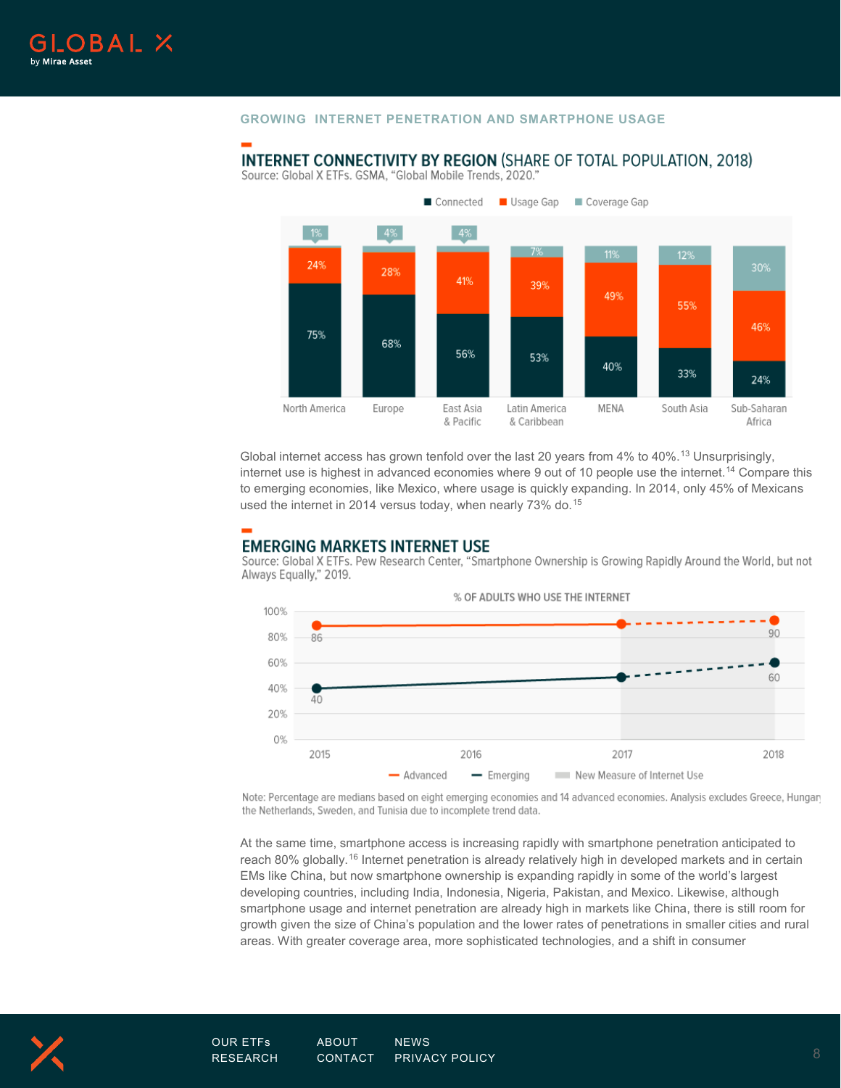#### **GROWING INTERNET PENETRATION AND SMARTPHONE USAGE**

#### Connected Usage Gap Coverage Gap  $1\%$  $4%$  $129$ 24% 30% 28% 41% 39% 49% 55% 46% 75% 68% 56% 53% 40% 33% 24% MENA South Asia North America East Asia Latin America Sub-Saharan Europe & Pacific & Caribbean Africa

**INTERNET CONNECTIVITY BY REGION (SHARE OF TOTAL POPULATION, 2018)** Source: Global X ETFs. GSMA, "Global Mobile Trends, 2020."

Global internet access has grown tenfold over the last 20 years from  $4\%$  to  $40\%$ .<sup>[13](#page-9-12)</sup> Unsurprisingly, internet use is highest in advanced economies where 9 out of 10 people use the internet.[14](#page-9-13) Compare this to emerging economies, like Mexico, where usage is quickly expanding. In 2014, only 45% of Mexicans used the internet in 2014 versus today, when nearly 73% do.<sup>[15](#page-9-14)</sup>

## **EMERGING MARKETS INTERNET USE**

Source: Global X ETFs. Pew Research Center, "Smartphone Ownership is Growing Rapidly Around the World, but not Always Equally," 2019.



Note: Percentage are medians based on eight emerging economies and 14 advanced economies. Analysis excludes Greece, Hungary the Netherlands, Sweden, and Tunisia due to incomplete trend data.

At the same time, smartphone access is increasing rapidly with smartphone penetration anticipated to reach 80% globally.<sup>[16](#page-9-15)</sup> Internet penetration is already relatively high in developed markets and in certain EMs like China, but now smartphone ownership is expanding rapidly in some of the world's largest developing countries, including India, Indonesia, Nigeria, Pakistan, and Mexico. Likewise, although smartphone usage and internet penetration are already high in markets like China, there is still room for growth given the size of China's population and the lower rates of penetrations in smaller cities and rural areas. With greater coverage area, more sophisticated technologies, and a shift in consumer

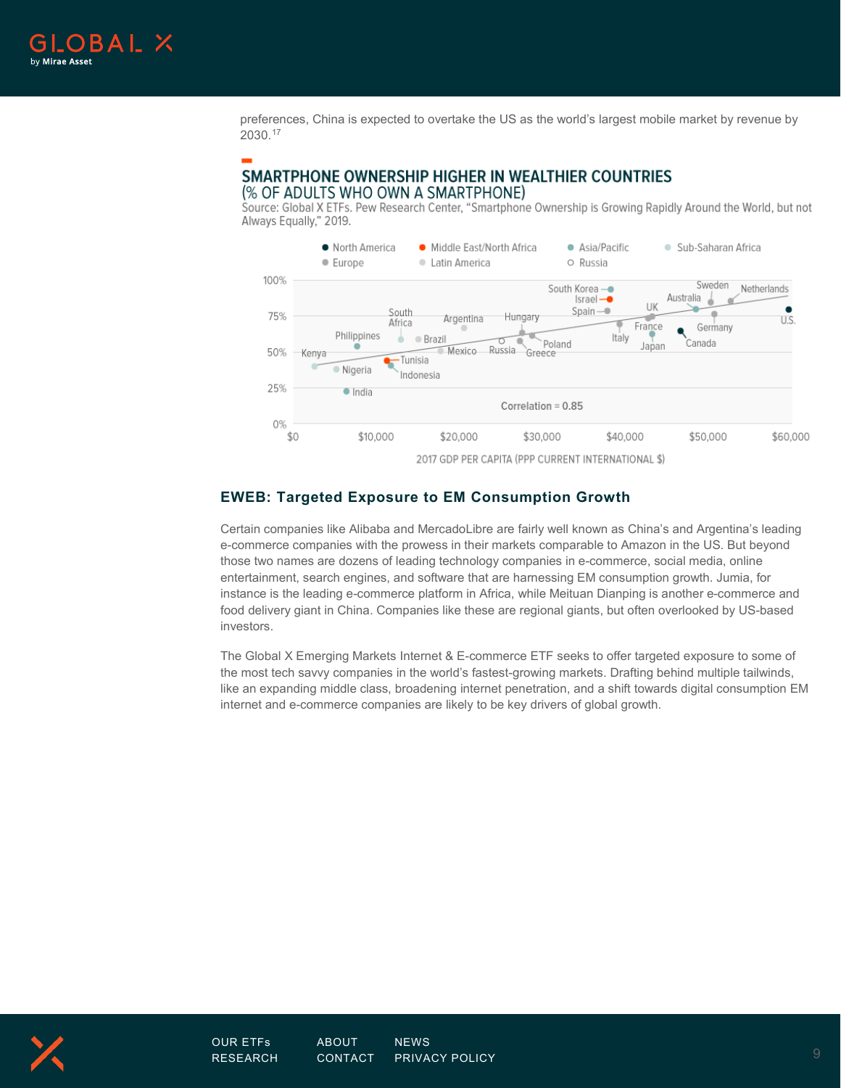

preferences, China is expected to overtake the US as the world's largest mobile market by revenue by 2030.[17](#page-9-16)

#### SMARTPHONE OWNERSHIP HIGHER IN WEALTHIER COUNTRIES (% OF ADULTS WHO OWN A SMARTPHONE)

Source: Global X ETFs. Pew Research Center, "Smartphone Ownership is Growing Rapidly Around the World, but not Always Equally," 2019.



2017 GDP PER CAPITA (PPP CURRENT INTERNATIONAL \$)

## **EWEB: Targeted Exposure to EM Consumption Growth**

Certain companies like Alibaba and MercadoLibre are fairly well known as China's and Argentina's leading e-commerce companies with the prowess in their markets comparable to Amazon in the US. But beyond those two names are dozens of leading technology companies in e-commerce, social media, online entertainment, search engines, and software that are harnessing EM consumption growth. Jumia, for instance is the leading e-commerce platform in Africa, while Meituan Dianping is another e-commerce and food delivery giant in China. Companies like these are regional giants, but often overlooked by US-based investors.

The Global X Emerging Markets Internet & E-commerce ETF seeks to offer targeted exposure to some of the most tech savvy companies in the world's fastest-growing markets. Drafting behind multiple tailwinds, like an expanding middle class, broadening internet penetration, and a shift towards digital consumption EM internet and e-commerce companies are likely to be key drivers of global growth.